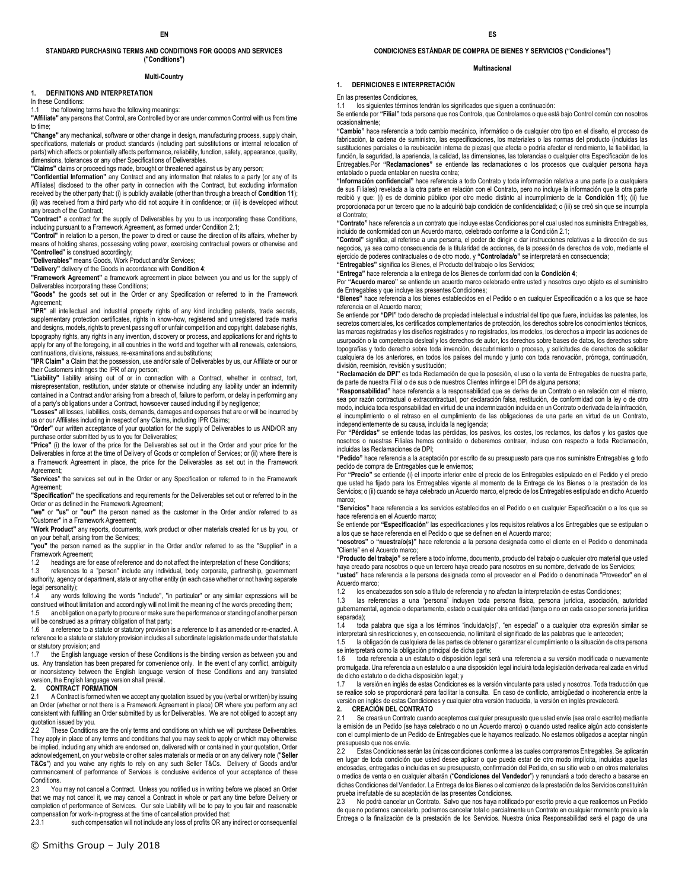### **STANDARD PURCHASING TERMS AND CONDITIONS FOR GOODS AND SERVICES ("Conditions")**

#### **Multi-Country**

#### **1. DEFINITIONS AND INTERPRETATION**

In these Conditions:

the following terms have the following meanings:

**"Affiliate"** any persons that Control, are Controlled by or are under common Control with us from time to time;

**"Change"** any mechanical, software or other change in design, manufacturing process, supply chain, specifications, materials or product standards (including part substitutions or internal relocation of parts) which affects or potentially affects performance, reliability, function, safety, appearance, quality, dimensions, tolerances or any other Specifications of Deliverables.

**"Claims"** claims or proceedings made, brought or threatened against us by any person;

**"Confidential Information"** any Contract and any information that relates to a party (or any of its Affiliates) disclosed to the other party in connection with the Contract, but excluding information received by the other party that: (i) is publicly available (other than through a breach of **Conditio[n 11](#page-3-0)**); (ii) was received from a third party who did not acquire it in confidence; or (iii) is developed without any breach of the Contract;

**"Contract"** a contract for the supply of Deliverables by you to us incorporating these Conditions, including pursuant to a Framework Agreement, as formed under Conditio[n 2.1;](#page-0-0) 

**"Control"** in relation to a person, the power to direct or cause the direction of its affairs, whether by means of holding shares, possessing voting power, exercising contractual powers or otherwise and "**Controlled**" is construed accordingly;

**"Deliverables"** means Goods, Work Product and/or Services;

**"Delivery"** delivery of the Goods in accordance with **Conditio[n 4](#page-1-0)**;

**"Framework Agreement"** a framework agreement in place between you and us for the supply of Deliverables incorporating these Conditions;

**"Goods"** the goods set out in the Order or any Specification or referred to in the Framework Agreement;

**"IPR"** all intellectual and industrial property rights of any kind including patents, trade secrets, supplementary protection certificates, rights in know-how, registered and unregistered trade marks and designs, models, rights to prevent passing off or unfair competition and copyright, database rights, topography rights, any rights in any invention, discovery or process, and applications for and rights to apply for any of the foregoing, in all countries in the world and together with all renewals, extensions, continuations, divisions, reissues, re-examinations and substitutions;

**"IPR Claim"** a Claim that the possession, use and/or sale of Deliverables by us, our Affiliate or our or their Customers infringes the IPR of any person;

**"Liability"** liability arising out of or in connection with a Contract, whether in contract, tort, misrepresentation, restitution, under statute or otherwise including any liability under an indemnity contained in a Contract and/or arising from a breach of, failure to perform, or delay in performing any of a party's obligations under a Contract, howsoever caused including if by negligence;

**"Losses"** all losses, liabilities, costs, demands, damages and expenses that are or will be incurred by us or our Affiliates including in respect of any Claims, including IPR Claims; **"Order"** our written acceptance of your quotation for the supply of Deliverables to us AND/OR any

purchase order submitted by us to you for Deliverables;

**"Price"** (i) the lower of the price for the Deliverables set out in the Order and your price for the Deliverables in force at the time of Delivery of Goods or completion of Services; or (ii) where there is a Framework Agreement in place, the price for the Deliverables as set out in the Framework Agreement;

"**Services**" the services set out in the Order or any Specification or referred to in the Framework Agreement:

**"Specification"** the specifications and requirements for the Deliverables set out or referred to in the Order or as defined in the Framework Agreement;

**"we"** or **"us"** or **"our"** the person named as the customer in the Order and/or referred to as "Customer" in a Framework Agreement;

**"Work Product"** any reports, documents, work product or other materials created for us by you, or on your behalf, arising from the Services;

**"you"** the person named as the supplier in the Order and/or referred to as the "Supplier" in a Framework Agreement;

1.2 headings are for ease of reference and do not affect the interpretation of these Conditions;

1.3 references to a "person" include any individual, body corporate, partnership, government authority, agency or department, state or any other entity (in each case whether or not having separate legal personality);

1.4 any words following the words "include", "in particular" or any similar expressions will be construed without limitation and accordingly will not limit the meaning of the words preceding them; 1.5 an obligation on a party to procure or make sure the performance or standing of another person

will be construed as a primary obligation of that party;<br>1.6 a reference to a statute or statutory provision in a reference to a statute or statutory provision is a reference to it as amended or re-enacted. A reference to a statute or statutory provision includes all subordinate legislation made under that statute or statutory provision; and

1.7 the English language version of these Conditions is the binding version as between you and us. Any translation has been prepared for convenience only. In the event of any conflict, ambiguity or inconsistency between the English language version of these Conditions and any translated version, the English language version shall prevail.

## **2. CONTRACT FORMATION**

<span id="page-0-0"></span>2.1 A Contract is formed when we accept any quotation issued by you (verbal or written) by issuing an Order (whether or not there is a Framework Agreement in place) OR where you perform any act consistent with fulfilling an Order submitted by us for Deliverables. We are not obliged to accept any quotation issued by you.

2.2 These Conditions are the only terms and conditions on which we will purchase Deliverables. They apply in place of any terms and conditions that you may seek to apply or which may otherwise be implied, including any which are endorsed on, delivered with or contained in your quotation, Order acknowledgement, on your website or other sales materials or media or on any delivery note ("**Seller T&Cs**") and you waive any rights to rely on any such Seller T&Cs. Delivery of Goods and/or commencement of performance of Services is conclusive evidence of your acceptance of these Conditions.<br>2.3 You

You may not cancel a Contract. Unless you notified us in writing before we placed an Order that we may not cancel it, we may cancel a Contract in whole or part any time before Delivery or completion of performance of Services. Our sole Liability will be to pay to you fair and reasonable compensation for work-in-progress at the time of cancellation provided that:<br>2.3.1 such compensation will not include any loss of profits OR any

such compensation will not include any loss of profits OR any indirect or consequential

## **CONDICIONES ESTÁNDAR DE COMPRA DE BIENES Y SERVICIOS ("Condiciones")**

#### **Multinacional**

### **1. DEFINICIONES E INTERPRETACIÓN**

En las presentes Condiciones,

1.1 los siguientes términos tendrán los significados que siguen a continuación:

Se entiende por **"Filial"** toda persona que nos Controla, que Controlamos o que está bajo Control común con nosotros ocasionalmente;

**"Cambio"** hace referencia a todo cambio mecánico, informático o de cualquier otro tipo en el diseño, el proceso de fabricación, la cadena de suministro, las especificaciones, los materiales o las normas del producto (incluidas las sustituciones parciales o la reubicación interna de piezas) que afecta o podría afectar el rendimiento, la fiabilidad, la función, la seguridad, la apariencia, la calidad, las dimensiones, las tolerancias o cualquier otra Especificación de los Entregables.Por **"Reclamaciones"** se entiende las reclamaciones o los procesos que cualquier persona haya entablado o pueda entablar en nuestra contra;

**"Información confidencial"** hace referencia a todo Contrato y toda información relativa a una parte (o a cualquiera de sus Filiales) revelada a la otra parte en relación con el Contrato, pero no incluye la información que la otra parte recibió y que: (i) es de dominio público (por otro medio distinto al incumplimiento de la **Condición 11**); (ii) fue proporcionada por un tercero que no la adquirió bajo condición de confidencialidad; o (iii) se creó sin que se incumpla el Contrato;

**"Contrato"** hace referencia a un contrato que incluye estas Condiciones por el cual usted nos suministra Entregables, incluido de conformidad con un Acuerdo marco, celebrado conforme a la Condición 2.1;

**"Control"** significa, al referirse a una persona, el poder de dirigir o dar instrucciones relativas a la dirección de sus negocios, ya sea como consecuencia de la titularidad de acciones, de la posesión de derechos de voto, mediante el ejercicio de poderes contractuales o de otro modo, y **"Controlada/o"** se interpretará en consecuencia;<br>**"Entregables"** significa los Bienes, el Producto del trabajo o los Servicios;

**"Entrega"** hace referencia a la entrega de los Bienes de conformidad con la **Condición 4**;

Por **"Acuerdo marco"** se entiende un acuerdo marco celebrado entre usted y nosotros cuyo objeto es el suministro de Entregables y que incluye las presentes Condiciones;

**"Bienes"** hace referencia a los bienes establecidos en el Pedido o en cualquier Especificación o a los que se hace referencia en el Acuerdo marco;

Se entiende por **"DPI"** todo derecho de propiedad intelectual e industrial del tipo que fuere, incluidas las patentes, los secretos comerciales, los certificados complementarios de protección, los derechos sobre los conocimientos técnicos, las marcas registradas y los diseños registrados y no registrados, los modelos, los derechos a impedir las acciones de usurpación o la competencia desleal y los derechos de autor, los derechos sobre bases de datos, los derechos sobre topografías y todo derecho sobre toda invención, descubrimiento o proceso, y solicitudes de derechos de solicitar cualquiera de los anteriores, en todos los países del mundo y junto con toda renovación, prórroga, continuación, división, reemisión, revisión y sustitución;

**"Reclamación de DPI"** es toda Reclamación de que la posesión, el uso o la venta de Entregables de nuestra parte, de parte de nuestra Filial o de sus o de nuestros Clientes infringe el DPI de alguna persona;

**"Responsabilidad"** hace referencia a la responsabilidad que se deriva de un Contrato o en relación con el mismo, sea por razón contractual o extracontractual, por declaración falsa, restitución, de conformidad con la ley o de otro modo, incluida toda responsabilidad en virtud de una indemnización incluida en un Contrato o derivada de la infracción, el incumplimiento o el retraso en el cumplimiento de las obligaciones de una parte en virtud de un Contrato, independientemente de su causa, incluida la negligencia;

Por **"Pérdidas"** se entiende todas las pérdidas, los pasivos, los costes, los reclamos, los daños y los gastos que nosotros o nuestras Filiales hemos contraído o deberemos contraer, incluso con respecto a toda Reclamación, incluidas las Reclamaciones de DPI;

**"Pedido"** hace referencia a la aceptación por escrito de su presupuesto para que nos suministre Entregables **o** todo pedido de compra de Entregables que le enviemos;

Por **"Precio"** se entiende (i) el importe inferior entre el precio de los Entregables estipulado en el Pedido y el precio que usted ha fijado para los Entregables vigente al momento de la Entrega de los Bienes o la prestación de los Servicios; o (ii) cuando se haya celebrado un Acuerdo marco, el precio de los Entregables estipulado en dicho Acuerdo marco;

**"Servicios"** hace referencia a los servicios establecidos en el Pedido o en cualquier Especificación o a los que se hace referencia en el Acuerdo marco;

Se entiende por **"Especificación"** las especificaciones y los requisitos relativos a los Entregables que se estipulan o a los que se hace referencia en el Pedido o que se definen en el Acuerdo marco;

**"nosotros"** o **"nuestra/o(s)"** hace referencia a la persona designada como el cliente en el Pedido o denominada "Cliente" en el Acuerdo marco;

**"Producto del trabajo"** se refiere a todo informe, documento, producto del trabajo o cualquier otro material que usted haya creado para nosotros o que un tercero haya creado para nosotros en su nombre, derivado de los Servicios; **"usted"** hace referencia a la persona designada como el proveedor en el Pedido o denominada "Proveedor" en el

Acuerdo marco;<br>12 los encal los encabezados son solo a título de referencia y no afectan la interpretación de estas Condiciones;

1.3 las referencias a una "persona" incluyen toda persona física, persona jurídica, asociación, autoridad gubernamental, agencia o departamento, estado o cualquier otra entidad (tenga o no en cada caso personería jurídica separada);

1.4 toda palabra que siga a los términos "incluida/o(s)", "en especial" o a cualquier otra expresión similar se interpretará sin restricciones y, en consecuencia, no limitará el significado de las palabras que le anteceden; 1.5 la obligación de cualquiera de las partes de obtener o garantizar el cumplimiento o la situación de otra persona

se interpretará como la obligación principal de dicha parte;<br>1.6 toda referencia a un estatuto o disposición legal se 1.6 toda referencia a un estatuto o disposición legal será una referencia a su versión modificada o nuevamente

promulgada. Una referencia a un estatuto o a una disposición legal incluirá toda legislación derivada realizada en virtud de dicho estatuto o de dicha disposición legal; y

1.7 la versión en inglés de estas Condiciones es la versión vinculante para usted y nosotros. Toda traducción que se realice solo se proporcionará para facilitar la consulta. En caso de conflicto, ambigüedad o incoherencia entre la versión en inglés de estas Condiciones y cualquier otra versión traducida, la versión en inglés prevalecerá.

# **2. CREACIÓN DEL CONTRATO**

Se creará un Contrato cuando aceptemos cualquier presupuesto que usted envíe (sea oral o escrito) mediante la emisión de un Pedido (se haya celebrado o no un Acuerdo marco) **o** cuando usted realice algún acto consistente con el cumplimiento de un Pedido de Entregables que le hayamos realizado. No estamos obligados a aceptar ningún presupuesto que nos envíe.

2.2 Estas Condiciones serán las únicas condiciones conforme a las cuales compraremos Entregables. Se aplicarán en lugar de toda condición que usted desee aplicar o que pueda estar de otro modo implícita, incluidas aquellas endosadas, entregadas o incluidas en su presupuesto, confirmación del Pedido, en su sitio web o en otros materiales o medios de venta o en cualquier albarán ("**Condiciones del Vendedor**") y renunciará a todo derecho a basarse en dichas Condiciones del Vendedor. La Entrega de los Bienes o el comienzo de la prestación de los Servicios constituirán prueba irrefutable de su aceptación de las presentes Condiciones.<br>2.3. Do podrá cancelar un Contrato. Salvo que nos hava notific

2.3 No podrá cancelar un Contrato. Salvo que nos haya notificado por escrito previo a que realicemos un Pedido de que no podemos cancelarlo, podremos cancelar total o parcialmente un Contrato en cualquier momento previo a la Entrega o la finalización de la prestación de los Servicios. Nuestra única Responsabilidad será el pago de una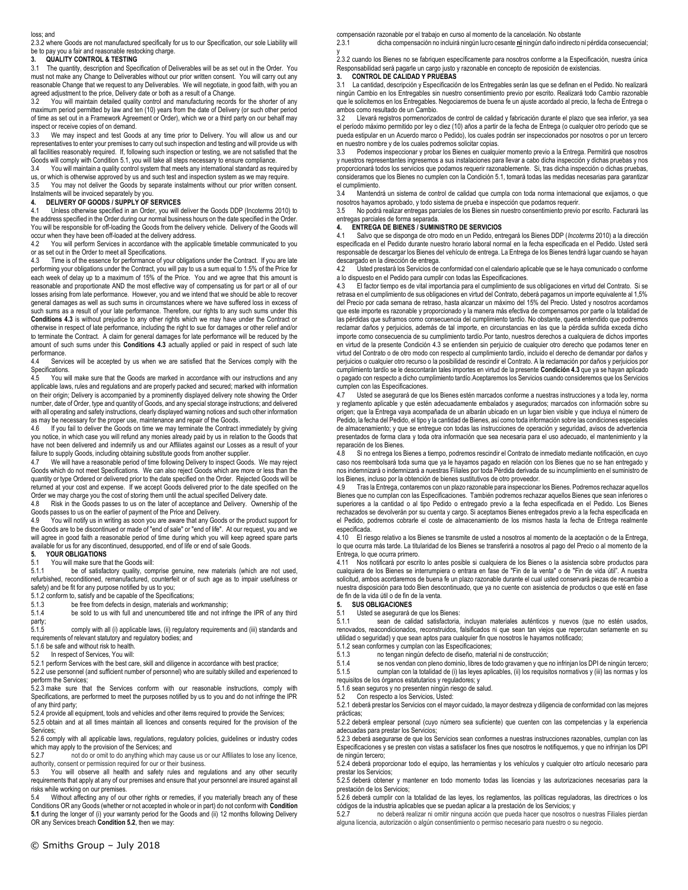#### loss; and

2.3.2 where Goods are not manufactured specifically for us to our Specification, our sole Liability will be to pay you a fair and reasonable restocking charge.

### **3. QUALITY CONTROL & TESTING**

3.1 The quantity, description and Specification of Deliverables will be as set out in the Order. You must not make any Change to Deliverables without our prior written consent. You will carry out any reasonable Change that we request to any Deliverables. We will negotiate, in good faith, with you an agreed adjustment to the price, Delivery date or both as a result of a Change.

3.2 You will maintain detailed quality control and manufacturing records for the shorter of any maximum period permitted by law and ten (10) years from the date of Delivery (or such other period nearly and step in the date of Delivery (or such other period of time as set out in a Framework Agreement or Order), which we or a third party on our behalf may inspect or receive copies of on demand.<br>3.3 We may inspect and test Good

We may inspect and test Goods at any time prior to Delivery. You will allow us and our representatives to enter your premises to carry out such inspection and testing and will provide us with all facilities reasonably required. If, following such inspection or testing, we are not satisfied that the Goods will comply with Condition [5.1,](#page-1-1) you will take all steps necessary to ensure compliance.

3.4 You will maintain a quality control system that meets any international standard as required by us, or which is otherwise approved by us and such test and inspection system as we may require.

3.5 You may not deliver the Goods by separate instalments without our prior written consent. Instalments will be invoiced separately by you.

## <span id="page-1-0"></span>**4. DELIVERY OF GOODS / SUPPLY OF SERVICES**

Unless otherwise specified in an Order, you will deliver the Goods DDP (Incoterms 2010) to the address specified in the Order during our normal business hours on the date specified in the Order. You will be responsible for off-loading the Goods from the delivery vehicle. Delivery of the Goods will occur when they have been off-loaded at the delivery address.

4.2 You will perform Services in accordance with the applicable timetable communicated to you or as set out in the Order to meet all Specifications.<br>4.3 Time is of the essence for performance of y

<span id="page-1-2"></span>Time is of the essence for performance of your obligations under the Contract. If you are late performing your obligations under the Contract, you will pay to us a sum equal to 1.5% of the Price for each week of delay up to a maximum of 15% of the Price. You and we agree that this amount is reasonable and proportionate AND the most effective way of compensating us for part or all of our losses arising from late performance. However, you and we intend that we should be able to recover general damages as well as such sums in circumstances where we have suffered loss in excess of such sums as a result of your late performance. Therefore, our rights to any such sums under this **Condition[s 4.3](#page-1-2)** is without prejudice to any other rights which we may have under the Contract or otherwise in respect of late performance, including the right to sue for damages or other relief and/or to terminate the Contract. A claim for general damages for late performance will be reduced by the amount of such sums under this **Conditions [4.3](#page-1-2)** actually applied or paid in respect of such late performance.

4.4 Services will be accepted by us when we are satisfied that the Services comply with the Specifications.

4.5 You will make sure that the Goods are marked in accordance with our instructions and any applicable laws, rules and regulations and are properly packed and secured; marked with information on their origin; Delivery is accompanied by a prominently displayed delivery note showing the Order number, date of Order, type and quantity of Goods, and any special storage instructions; and delivered with all operating and safety instructions, clearly displayed warning notices and such other information as may be necessary for the proper use, maintenance and repair of the Goods.

4.6 If you fail to deliver the Goods on time we may terminate the Contract immediately by giving you notice, in which case you will refund any monies already paid by us in relation to the Goods that have not been delivered and indemnify us and our Affiliates against our Losses as a result of your failure to supply Goods, including obtaining substitute goods from another supplier.

4.7 We will have a reasonable period of time following Delivery to inspect Goods. We may reject Goods which do not meet Specifications. We can also reject Goods which are more or less than the quantity or type Ordered or delivered prior to the date specified on the Order. Rejected Goods will be returned at your cost and expense. If we accept Goods delivered prior to the date specified on the Order we may charge you the cost of storing them until the actual specified Delivery date.

4.8 Risk in the Goods passes to us on the later of acceptance and Delivery. Ownership of the Goods passes to us on the earlier of payment of the Price and Delivery.

4.9 You will notify us in writing as soon you are aware that any Goods or the product support for the Goods are to be discontinued or made of "end of sale" or "end of life". At our request, you and we will agree in good faith a reasonable period of time during which you will keep agreed spare parts available for us for any discontinued, desupported, end of life or end of sale Goods.<br>5. YOUR OBLIGATIONS

## **5. YOUR OBLIGATIONS**

<span id="page-1-1"></span>5.1 You will make sure that the Goods will:

5.1.1 be of satisfactory quality, comprise genuine, new materials (which are not used, refurbished, reconditioned, remanufactured, counterfeit or of such age as to impair usefulness or safety) and be fit for any purpose notified by us to you;

5.1.2 conform to, satisfy and be capable of the Specifications;

5.1.3 be free from defects in design, materials and workmanship;

5.1.4 be sold to us with full and unencumbered title and not infringe the IPR of any third party;<br>5.1.5

5.1.5 comply with all (i) applicable laws, (ii) regulatory requirements and (iii) standards and requirements of relevant statutory and regulatory bodies; and

5.1.6 be safe and without risk to health.

<span id="page-1-3"></span>5.2 In respect of Services, You will:

5.2.1 perform Services with the best care, skill and diligence in accordance with best practice;

5.2.2 use personnel (and sufficient number of personnel) who are suitably skilled and experienced to perform the Services;

5.2.3 make sure that the Services conform with our reasonable instructions, comply with Specifications, are performed to meet the purposes notified by us to you and do not infringe the IPR of any third party;

5.2.4 provide all equipment, tools and vehicles and other items required to provide the Services;

5.2.5 obtain and at all times maintain all licences and consents required for the provision of the Services;

5.2.6 comply with all applicable laws, regulations, regulatory policies, guidelines or industry codes which may apply to the provision of the Services; and

5.2.7 not do or omit to do anything which may cause us or our Affiliates to lose any licence, authority, consent or permission required for our or their business.<br>5.3. You will observe all health and safety rules and rec

5.3 You will observe all health and safety rules and regulations and any other security requirements that apply at any of our premises and ensure that your personnel are insured against all risks while working on our premises.

<span id="page-1-4"></span>5.4 Without affecting any of our other rights or remedies, if you materially breach any of these Conditions OR any Goods (whether or not accepted in whole or in part) do not conform with **Condition [5.1](#page-1-1)** during the longer of (i) your warranty period for the Goods and (ii) 12 months following Delivery OR any Services breach **Conditio[n 5.2](#page-1-3)**, then we may:

© Smiths Group – July 2018

compensación razonable por el trabajo en curso al momento de la cancelación. No obstante

2.3.1 dicha compensación no incluirá ningún lucro cesante **ni** ningún daño indirecto ni pérdida consecuencial; y

2.3.2 cuando los Bienes no se fabriquen específicamente para nosotros conforme a la Especificación, nuestra única Responsabilidad será pagarle un cargo justo y razonable en concepto de reposición de existencias.

#### **3. CONTROL DE CALIDAD Y PRUEBAS**

3.1 La cantidad, descripción y Especificación de los Entregables serán las que se definan en el Pedido. No realizará ningún Cambio en los Entregables sin nuestro consentimiento previo por escrito. Realizará todo Cambio razonable que le solicitemos en los Entregables. Negociaremos de buena fe un ajuste acordado al precio, la fecha de Entrega o ambos como resultado de un Cambio.<br>3.2 Llevará registros pormenorizad

Llevará registros pormenorizados de control de calidad y fabricación durante el plazo que sea inferior, ya sea el período máximo permitido por ley o diez (10) años a partir de la fecha de Entrega (o cualquier otro período que se pueda estipular en un Acuerdo marco o Pedido), los cuales podrán ser inspeccionados por nosotros o por un tercero en nuestro nombre y de los cuales podremos solicitar copias.

3.3 Podemos inspeccionar y probar los Bienes en cualquier momento previo a la Entrega. Permitirá que nosotros y nuestros representantes ingresemos a sus instalaciones para llevar a cabo dicha inspección y dichas pruebas y nos proporcionará todos los servicios que podamos requerir razonablemente. Si, tras dicha inspección o dichas pruebas, consideramos que los Bienes no cumplen con la Condición 5.1, tomará todas las medidas necesarias para garantizar el cumplimiento.

3.4 Mantendrá un sistema de control de calidad que cumpla con toda norma internacional que exijamos, o que nosotros hayamos aprobado, y todo sistema de prueba e inspección que podamos requerir.

3.5 No podrá realizar entregas parciales de los Bienes sin nuestro consentimiento previo por escrito. Facturará las entregas parciales de forma separada.

#### **4. ENTREGA DE BIENES / SUMINISTRO DE SERVICIOS**

4.1 Salvo que se disponga de otro modo en un Pedido, entregará los Bienes DDP (*Incoterms* 2010) a la dirección especificada en el Pedido durante nuestro horario laboral normal en la fecha especificada en el Pedido. Usted será responsable de descargar los Bienes del vehículo de entrega. La Entrega de los Bienes tendrá lugar cuando se hayan descargado en la dirección de entrega.<br>42 Ulsted prestará los Servicios de

4.2 Usted prestará los Servicios de conformidad con el calendario aplicable que se le haya comunicado o conforme a lo dispuesto en el Pedido para cumplir con todas las Especificaciones.

4.3 El factor tiempo es de vital importancia para el cumplimiento de sus obligaciones en virtud del Contrato. Si se retrasa en el cumplimiento de sus obligaciones en virtud del Contrato, deberá pagarnos un importe equivalente al 1,5% del Precio por cada semana de retraso, hasta alcanzar un máximo del 15% del Precio. Usted y nosotros acordamos que este importe es razonable y proporcionado y la manera más efectiva de compensarnos por parte o la totalidad de las pérdidas que suframos como consecuencia del cumplimiento tardío. No obstante, queda entendido que podremos reclamar daños y perjuicios, además de tal importe, en circunstancias en las que la pérdida sufrida exceda dicho importe como consecuencia de su cumplimiento tardío.Por tanto, nuestros derechos a cualquiera de dichos importes en virtud de la presente Condición 4.3 se entienden sin perjuicio de cualquier otro derecho que podamos tener en virtud del Contrato o de otro modo con respecto al cumplimiento tardío, incluido el derecho de demandar por daños y perjuicios o cualquier otro recurso o la posibilidad de rescindir el Contrato. A la reclamación por daños y perjuicios por cumplimiento tardío se le descontarán tales importes en virtud de la presente **Condición 4.3** que ya se hayan aplicado o pagado con respecto a dicho cumplimiento tardío.Aceptaremos los Servicios cuando consideremos que los Servicios cumplen con las Especificaciones.<br>4.7 Usted se asegurará de que

Usted se asegurará de que los Bienes estén marcados conforme a nuestras instrucciones y a toda ley, norma y reglamento aplicable y que estén adecuadamente embalados y asegurados; marcados con información sobre su origen; que la Entrega vaya acompañada de un albarán ubicado en un lugar bien visible y que incluya el número de Pedido, la fecha del Pedido, el tipo y la cantidad de Bienes, así como toda información sobre las condiciones especiales de almacenamiento; y que se entregue con todas las instrucciones de operación y seguridad, avisos de advertencia presentados de forma clara y toda otra información que sea necesaria para el uso adecuado, el mantenimiento y la reparación de los Bienes.

4.8 Si no entrega los Bienes a tiempo, podremos rescindir el Contrato de inmediato mediante notificación, en cuyo caso nos reembolsará toda suma que ya le hayamos pagado en relación con los Bienes que no se han entregado y nos indemnizará o indemnizará a nuestras Filiales por toda Pérdida derivada de su incumplimiento en el suministro de los Bienes, incluso por la obtención de bienes sustitutivos de otro proveedor.

4.9 Tras la Entrega, contaremos con un plazo razonable para inspeccionar los Bienes. Podremos rechazar aquellos Bienes que no cumplan con las Especificaciones. También podremos rechazar aquellos Bienes que sean inferiores o superiores a la cantidad o al tipo Pedido o entregado previo a la fecha especificada en el Pedido. Los Bienes rechazados se devolverán por su cuenta y cargo. Si aceptamos Bienes entregados previo a la fecha especificada en el Pedido, podremos cobrarle el coste de almacenamiento de los mismos hasta la fecha de Entrega realmente especificada.

4.10 El riesgo relativo a los Bienes se transmite de usted a nosotros al momento de la aceptación o de la Entrega, lo que ocurra más tarde. La titularidad de los Bienes se transferirá a nosotros al pago del Precio o al momento de la Entrega, lo que ocurra primero.

4.11 Nos notificará por escrito lo antes posible si cualquiera de los Bienes o la asistencia sobre productos para cualquiera de los Bienes se interrumpiera o entrara en fase de "Fin de la venta" o de "Fin de vida útil". A nuestra<br>solicitud, ambos acordaremos de buena fe un plazo razonable durante el cual usted conservará piezas de rec nuestra disposición para todo Bien descontinuado, que ya no cuente con asistencia de productos o que esté en fase de fin de la vida útil o de fin de la venta.

### **5. SUS OBLIGACIONES**

5.1 Usted se asegurará de que los Bienes:

5.1.1 sean de calidad satisfactoria, incluyan materiales auténticos y nuevos (que no estén usados, renovados, reacondicionados, reconstruidos, falsificados ni que sean tan viejos que repercutan seriamente en su utilidad o seguridad) y que sean aptos para cualquier fin que nosotros le hayamos notificado;

- 5.1.2 sean conformes y cumplan con las Especificaciones;
- 5.1.3 no tengan ningún defecto de diseño, material ni de construcción;

5.1.4 se nos vendan con pleno dominio, libres de todo gravamen y que no infrinjan los DPI de ningún tercero; 5.1.5 cumplan con la totalidad de (i) las leyes aplicables, (ii) los requisitos normativos y (iii) las normas y los requisitos de los órganos estatutarios y reguladores; y

5.1.6 sean seguros y no presenten ningún riesgo de salud.<br>5.2 Con respecto a los Servicios, Usted:

Con respecto a los Servicios, Usted:

5.2.1 deberá prestar los Servicios con el mayor cuidado, la mayor destreza y diligencia de conformidad con las mejores prácticas;

5.2.2 deberá emplear personal (cuyo número sea suficiente) que cuenten con las competencias y la experiencia adecuadas para prestar los Servicios;

5.2.3 deberá asegurarse de que los Servicios sean conformes a nuestras instrucciones razonables, cumplan con las Especificaciones y se presten con vistas a satisfacer los fines que nosotros le notifiquemos, y que no infrinjan los DPI de ningún tercero;

5.2.4 deberá proporcionar todo el equipo, las herramientas y los vehículos y cualquier otro artículo necesario para prestar los Servicios;

5.2.5 deberá obtener y mantener en todo momento todas las licencias y las autorizaciones necesarias para la prestación de los Servicios;

5.2.6 deberá cumplir con la totalidad de las leyes, los reglamentos, las políticas reguladoras, las directrices o los códigos de la industria aplicables que se puedan aplicar a la prestación de los Servicios; y

5.2.7 no deberá realizar ni omitir ninguna acción que pueda hacer que nosotros o nuestras Filiales pierdan alguna licencia, autorización o algún consentimiento o permiso necesario para nuestro o su negocio.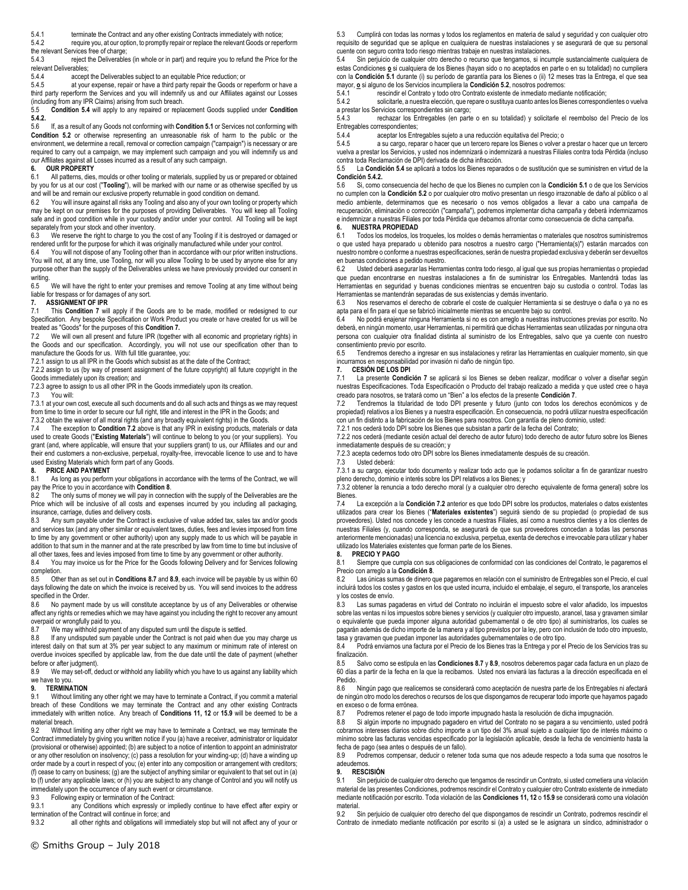5.4.1 terminate the Contract and any other existing Contracts immediately with notice;

<span id="page-2-0"></span>5.4.2 require you, at our option, to promptly repair or replace the relevant Goods or reperform

the relevant Services free of charge;<br>5.4.3 reject the Deliverable reject the Deliverables (in whole or in part) and require you to refund the Price for the<br>verables: relevant Deli<br>544

5.4.4 accept the Deliverables subject to an equitable Price reduction; or<br>5.4.5 at your expense repair or have a third party repair the Goods or a

at your expense, repair or have a third party repair the Goods or reperform or have a third party reperform the Services and you will indemnify us and our Affiliates against our Losses (including from any IPR Claims) arising from such breach.<br>5.5 Condition 5.4 will apply to any repaired or repla

5.5 **Conditio[n 5.4](#page-1-4)** will apply to any repaired or replacement Goods supplied under **Condition [5.4.2.](#page-2-0)**

5.6 If, as a result of any Goods not conforming with **Conditio[n 5.1](#page-1-1)** or Services not conforming with **Condition [5.2](#page-1-3)** or otherwise representing an unreasonable risk of harm to the public or the environment, we determine a recall, removal or correction campaign ("campaign") is necessary or are required to carry out a campaign, we may implement such campaign and you will indemnify us and our Affiliates against all Losses incurred as a result of any such campaign.

# **6. OUR PROPERTY**

All patterns, dies, moulds or other tooling or materials, supplied by us or prepared or obtained by you for us at our cost ("**Tooling**"), will be marked with our name or as otherwise specified by us and will be and remain our exclusive property returnable in good condition on demand.<br>62 You will insure against all risks any Tooling and also any of your own tooling or

You will insure against all risks any Tooling and also any of your own tooling or property which may be kept on our premises for the purposes of providing Deliverables. You will keep all Tooling safe and in good condition while in your custody and/or under your control. All Tooling will be kept separately from your stock and other inventory.

6.3 We reserve the right to charge to you the cost of any Tooling if it is destroyed or damaged or rendered unfit for the purpose for which it was originally manufactured while under your control.<br>6.4 You will not dispose of any Tooling other than in accordance with our prior written instruct

You will not dispose of any Tooling other than in accordance with our prior written instructions. You will not, at any time, use Tooling, nor will you allow Tooling to be used by anyone else for any purpose other than the supply of the Deliverables unless we have previously provided our consent in writing.

6.5 We will have the right to enter your premises and remove Tooling at any time without being liable for trespass or for damages of any sort.

### <span id="page-2-1"></span>**7. ASSIGNMENT OF IPR**

7.1 This **Condition [7](#page-2-1)** will apply if the Goods are to be made, modified or redesigned to our Specification. Any bespoke Specification or Work Product you create or have created for us will be treated as "Goods" for the purposes of this **Conditio[n 7.](#page-2-1)**

<span id="page-2-2"></span>7.2 We will own all present and future IPR (together with all economic and proprietary rights) in the Goods and our specification. Accordingly, you will not use our specification other than to manufacture the Goods for us. With full title guarantee, you:

7.2.1 assign to us all IPR in the Goods which subsist as at the date of the Contract;

7.2.2 assign to us (by way of present assignment of the future copyright) all future copyright in the Goods immediately upon its creation; and

7.2.3 agree to assign to us all other IPR in the Goods immediately upon its creation.<br>7.3 You will:

You will:

7.3.1 at your own cost, execute all such documents and do all such acts and things as we may request from time to time in order to secure our full right, title and interest in the IPR in the Goods; and

7.3.2 obtain the waiver of all moral rights (and any broadly equivalent rights) in the Goods. 7.4 The exception to **Condition [7.2](#page-2-2)** above is that any IPR in existing products, materials or data

used to create Goods ("**Existing Materials**") will continue to belong to you (or your suppliers). You grant (and, where applicable, will ensure that your suppliers grant) to us, our Affiliates and our and their end customers a non-exclusive, perpetual, royalty-free, irrevocable licence to use and to have used Existing Materials which form part of any Goods.

### <span id="page-2-3"></span>**8. PRICE AND PAYMENT**

8.1 As long as you perform your obligations in accordance with the terms of the Contract, we will pay the Price to you in accordance with **Conditio[n 8](#page-2-3)**.

The only sums of money we will pay in connection with the supply of the Deliverables are the Price which will be inclusive of all costs and expenses incurred by you including all packaging, insurance, carriage, duties and delivery costs.

8.3 Any sum payable under the Contract is exclusive of value added tax, sales tax and/or goods and services tax (and any other similar or equivalent taxes, duties, fees and levies imposed from time to time by any government or other authority) upon any supply made to us which will be payable in addition to that sum in the manner and at the rate prescribed by law from time to time but inclusive of all other taxes, fees and levies imposed from time to time by any government or other authority.

8.4 You may invoice us for the Price for the Goods following Delivery and for Services following completion.<br>8.5 Other

8.5 Other than as set out in **Condition[s 8.7](#page-2-4)** and **[8.9](#page-2-5)**, each invoice will be payable by us within 60 days following the date on which the invoice is received by us. You will send invoices to the address specified in the Order.

8.6 No payment made by us will constitute acceptance by us of any Deliverables or otherwise affect any rights or remedies which we may have against you including the right to recover any amount overpaid or wrongfully paid to you.

<span id="page-2-4"></span>8.7 We may withhold payment of any disputed sum until the dispute is settled.<br>8.8 If any undisputed sum payable under the Contract is not paid when due y

If any undisputed sum payable under the Contract is not paid when due you may charge us interest daily on that sum at 3% per year subject to any maximum or minimum rate of interest on overdue invoices specified by applicable law, from the due date until the date of payment (whether before or after judgment).

<span id="page-2-5"></span>8.9 We may set-off, deduct or withhold any liability which you have to us against any liability which we have to you.

## **9. TERMINATION**

Without limiting any other right we may have to terminate a Contract, if you commit a material breach of these Conditions we may terminate the Contract and any other existing Contracts immediately with written notice. Any breach of **Conditions 11, 12** or **[15.9](#page-4-0)** will be deemed to be a material breach.

9.2 Without limiting any other right we may have to terminate a Contract, we may terminate the Contract immediately by giving you written notice if you (a) have a receiver, administrator or liquidator (provisional or otherwise) appointed; (b) are subject to a notice of intention to appoint an administrator or any other resolution on insolvency; (c) pass a resolution for your winding-up; (d) have a winding up order made by a court in respect of you; (e) enter into any composition or arrangement with creditors; (f) cease to carry on business; (g) are the subject of anything similar or equivalent to that set out in (a) to (f) under any applicable laws; or (h) you are subject to any change of Control and you will notify us immediately upon the occurrence of any such event or circumstance.

9.3 Following expiry or termination of the Contract:

9.3.1 any Conditions which expressly or impliedly continue to have effect after expiry or termination of the Contract will continue in force; and<br>9.3.2 all other rights and obligations will im-

all other rights and obligations will immediately stop but will not affect any of your or

5.3 Cumplirá con todas las normas y todos los reglamentos en materia de salud y seguridad y con cualquier otro requisito de seguridad que se aplique en cualquiera de nuestras instalaciones y se asegurará de que su personal cuente con seguro contra todo riesgo mientras trabaje en nuestras instalaciones.<br>54 Sin periujojo de cualquier otro derecho o recurso que tengamos, si incu

Sin perjuicio de cualquier otro derecho o recurso que tengamos, si incumple sustancialmente cualquiera de estas Condiciones **o** si cualquiera de los Bienes (hayan sido o no aceptados en parte o en su totalidad) no cumpliera con la **Condición 5.1** durante (i) su período de garantía para los Bienes o (ii) 12 meses tras la Entrega, el que sea mayor, **o** si alguno de los Servicios incumpliera la **Condición 5.2**, nosotros podremos:

5.4.1 rescindir el Contrato y todo otro Contrato existente de inmediato mediante notificación;

5.4.2 solicitarle, a nuestra elección, que repare o sustituya cuanto antes los Bienes correspondientes o vuelva a prestar los Servicios correspondientes sin cargo;<br>5.4.3 rechazar los Entregables (en parte

rechazar los Entregables (en parte o en su totalidad) y solicitarle el reembolso del Precio de los Entregables correspondientes;<br>5.4.4 aceptar los Ent

5.4.4 aceptar los Entregables sujeto a una reducción equitativa del Precio; o<br>5.4.5 a su cargo, reparar o hacer que un tercero repare los Bienes o volver a

5.4.5 a su cargo, reparar o hacer que un tercero repare los Bienes o volver a prestar o hacer que un tercero vuelva a prestar los Servicios, y usted nos indemnizará o indemnizará a nuestras Filiales contra toda Pérdida (incluso contra toda Reclamación de DPI) derivada de dicha infracción.

5.5 La **Condición 5.4** se aplicará a todos los Bienes reparados o de sustitución que se suministren en virtud de la **Condición 5.4.2.**

5.6 Si, como consecuencia del hecho de que los Bienes no cumplen con la **Condición 5.1** o de que los Servicios no cumplen con la **Condición 5.2** o por cualquier otro motivo presentan un riesgo irrazonable de daño al público o al medio ambiente, determinamos que es necesario o nos vemos obligados a llevar a cabo una campaña de recuperación, eliminación o corrección ("campaña"), podremos implementar dicha campaña y deberá indemnizarnos e indemnizar a nuestras Filiales por toda Pérdida que debamos afrontar como consecuencia de dicha campaña.<br>6. NUESTRA PROPIEDAD

#### **6. NUESTRA PROPIEDAD**

6.1 Todos los modelos, los troqueles, los moldes o demás herramientas o materiales que nosotros suministremos o que usted haya preparado u obtenido para nosotros a nuestro cargo ("Herramienta(s)") estarán marcados con nuestro nombre o conforme a nuestras especificaciones, serán de nuestra propiedad exclusiva y deberán ser devueltos en buenas condiciones a pedido nuestro.<br>62 Ulsted deberá asegurar las Herram

Usted deberá asegurar las Herramientas contra todo riesgo, al igual que sus propias herramientas o propiedad que puedan encontrarse en nuestras instalaciones a fin de suministrar los Entregables. Mantendrá todas las Herramientas en seguridad y buenas condiciones mientras se encuentren bajo su custodia o control. Todas las Herramientas se mantendrán separadas de sus existencias y demás inventario.

Nos reservamos el derecho de cobrarle el coste de cualquier Herramienta si se destruye o daña o ya no es apta para el fin para el que se fabricó inicialmente mientras se encuentre bajo su control.

6.4 No podrá enajenar ninguna Herramienta si no es con arreglo a nuestras instrucciones previas por escrito. No deberá, en ningún momento, usar Herramientas, ni permitirá que dichas Herramientas sean utilizadas por ninguna otra persona con cualquier otra finalidad distinta al suministro de los Entregables, salvo que ya cuente con nuestro consentimiento previo por escrito.<br>6.5 Tendremos derecho a ingr

Tendremos derecho a ingresar en sus instalaciones y retirar las Herramientas en cualquier momento, sin que incurramos en responsabilidad por invasión ni daño de ningún tipo.

**7. CESIÓN DE LOS DPI**

7.1 La presente **Condición 7** se aplicará si los Bienes se deben realizar, modificar o volver a diseñar según nuestras Especificaciones. Toda Especificación o Producto del trabajo realizado a medida y que usted cree o haya creado para nosotros, se tratará como un "Bien" a los efectos de la presente **Condición 7**.

7.2 Tendremos la titularidad de todo DPI presente y futuro (junto con todos los derechos económicos y de propiedad) relativos a los Bienes y a nuestra especificación. En consecuencia, no podrá utilizar nuestra especificación con un fin distinto a la fabricación de los Bienes para nosotros. Con garantía de pleno dominio, usted:

7.2.1 nos cederá todo DPI sobre los Bienes que subsistan a partir de la fecha del Contrato;

7.2.2 nos cederá (mediante cesión actual del derecho de autor futuro) todo derecho de autor futuro sobre los Bienes inmediatamente después de su creación; y

7.2.3 acepta cedernos todo otro DPI sobre los Bienes inmediatamente después de su creación.

7.3 Usted deberá: 7.3.1 a su cargo, ejecutar todo documento y realizar todo acto que le podamos solicitar a fin de garantizar nuestro pleno derecho, dominio e interés sobre los DPI relativos a los Bienes; y

7.3.2 obtener la renuncia a todo derecho moral (y a cualquier otro derecho equivalente de forma general) sobre los Bienes.

7.4 La excepción a la **Condición 7.2** anterior es que todo DPI sobre los productos, materiales o datos existentes utilizados para crear los Bienes ("**Materiales existentes**") seguirá siendo de su propiedad (o propiedad de sus proveedores). Usted nos concede y les concede a nuestras Filiales, así como a nuestros clientes y a los clientes de nuestras Filiales (y, cuando corresponda, se asegurará de que sus proveedores concedan a todas las personas anteriormente mencionadas) una licencia no exclusiva, perpetua, exenta de derechos e irrevocable para utilizar y haber utilizado los Materiales existentes que forman parte de los Bienes.

**8. PRECIO Y PAGO** 8.1 Siempre que cumpla con sus obligaciones de conformidad con las condiciones del Contrato, le pagaremos el

Precio con arreglo a la **Condición 8**. Las únicas sumas de dinero que pagaremos en relación con el suministro de Entregables son el Precio, el cual incluirá todos los costes y gastos en los que usted incurra, incluido el embalaje, el seguro, el transporte, los aranceles y los costes de envío.

8.3 Las sumas pagaderas en virtud del Contrato no incluirán el impuesto sobre el valor añadido, los impuestos sobre las ventas ni los impuestos sobre bienes y servicios (y cualquier otro impuesto, arancel, tasa y gravamen similar o equivalente que pueda imponer alguna autoridad gubernamental o de otro tipo) al suministrarlos, los cuales se pagarán además de dicho importe de la manera y al tipo previstos por la ley, pero con inclusión de todo otro impuesto,

tasa y gravamen que puedan imponer las autoridades gubernamentales o de otro tipo. Podrá enviarnos una factura por el Precio de los Bienes tras la Entrega y por el Precio de los Servicios tras su finalización.

8.5 Salvo como se estipula en las **Condiciones 8.7** y **8.9**, nosotros deberemos pagar cada factura en un plazo de 60 días a partir de la fecha en la que la recibamos. Usted nos enviará las facturas a la dirección especificada en el Pedido.<br>8.6

8.6 Ningún pago que realicemos se considerará como aceptación de nuestra parte de los Entregables ni afectará de ningún otro modo los derechos o recursos de los que dispongamos de recuperar todo importe que hayamos pagado en exceso o de forma errónea.

8.7 Podremos retener el pago de todo importe impugnado hasta la resolución de dicha impugnación.

8.8 Si algún importe no impugnado pagadero en virtud del Contrato no se pagara a su vencimiento, usted podrá cobrarnos intereses diarios sobre dicho importe a un tipo del 3% anual sujeto a cualquier tipo de interés máximo o mínimo sobre las facturas vencidas especificado por la legislación aplicable, desde la fecha de vencimiento hasta la fecha de pago (sea antes o después de un fallo).

8.9 Podremos compensar, deducir o retener toda suma que nos adeude respecto a toda suma que nosotros le adeudemos.

## **9. RESCISIÓN**

9.1 Sin perjuicio de cualquier otro derecho que tengamos de rescindir un Contrato, si usted cometiera una violación material de las presentes Condiciones, podremos rescindir el Contrato y cualquier otro Contrato existente de inmediato mediante notificación por escrito. Toda violación de las **Condiciones 11, 12** o **15.9** se considerará como una violación material.

9.2 Sin perjuicio de cualquier otro derecho del que dispongamos de rescindir un Contrato, podremos rescindir el Contrato de inmediato mediante notificación por escrito si (a) a usted se le asignara un síndico, administrador o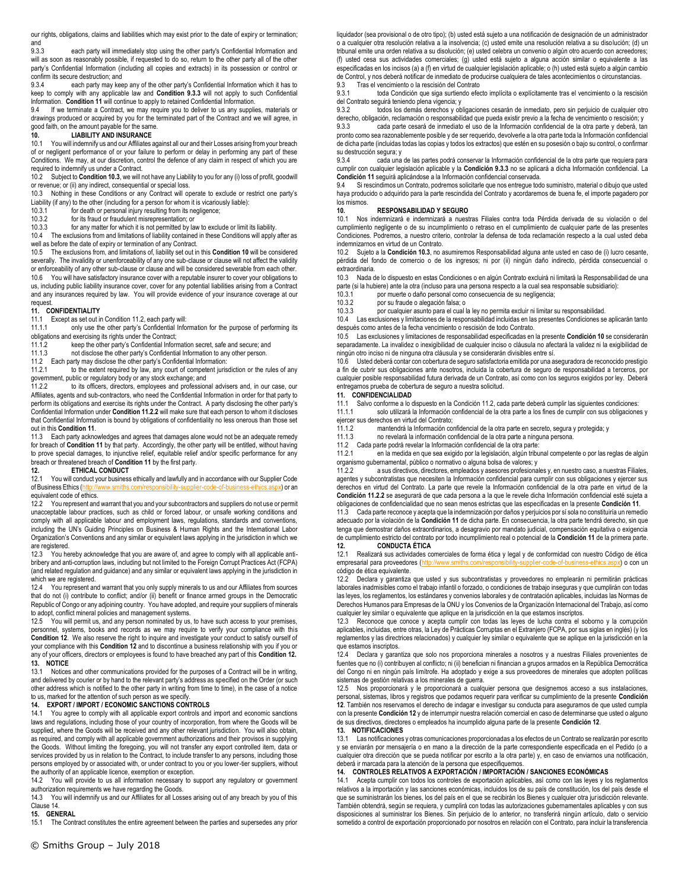our rights, obligations, claims and liabilities which may exist prior to the date of expiry or termination; and<br>9.3.3

<span id="page-3-1"></span>each party will immediately stop using the other party's Confidential Information and will as soon as reasonably possible, if requested to do so, return to the other party all of the other party's Confidential Information (including all copies and extracts) in its possession or control or confirm its secure destruction; and<br>9.3.4 each party may kee

each party may keep any of the other party's Confidential Information which it has to keep to comply with any applicable law and **Condition [9.3.3](#page-3-1)** will not apply to such Confidential

Information. **Conditio[n 11](#page-3-0)** will continue to apply to retained Confidential Information.<br>9.4 If we terminate a Contract, we may require you to deliver to us any supplies, materials or drawings produced or acquired by you for the terminated part of the Contract and we will agree, in good faith, on the amount payable for the same.

## <span id="page-3-3"></span>**10. LIABILITY AND INSURANCE**

10.1 You will indemnify us and our Affiliates against all our and their Losses arising from your breach of or negligent performance of or your failure to perform or delay in performing any part of these Conditions. We may, at our discretion, control the defence of any claim in respect of which you are required to indemnify us under a Contract.

10.2 Subject to **Conditio[n 10.3](#page-3-2)**, we will not have any Liability to you for any (i) loss of profit, goodwill or revenue; or (ii) any indirect, consequential or special loss.

<span id="page-3-2"></span>10.3 Nothing in these Conditions or any Contract will operate to exclude or restrict one party's Liability (if any) to the other (including for a person for whom it is vicariously liable):<br>10.3.1 for death or personal iniury resulting from its negligence:

for death or personal injury resulting from its negligence;

10.3.2 for its fraud or fraudulent misrepresentation; or<br>10.3.3 for any matter for which it is not permitted by la

for any matter for which it is not permitted by law to exclude or limit its liability.

10.4 The exclusions from and limitations of liability contained in these Conditions will apply after as well as before the date of expiry or termination of any Contract.

10.5 The exclusions from, and limitations of, liability set out in this **Condition [10](#page-3-3)** will be considered severally. The invalidity or unenforceability of any one sub-clause or clause will not affect the validity or enforceability of any other sub-clause or clause and will be considered severable from each other. 10.6 You will have satisfactory insurance cover with a reputable insurer to cover your obligations to us, including public liability insurance cover, cover for any potential liabilities arising from a Contract and any insurances required by law. You will provide evidence of your insurance coverage at our request.

## <span id="page-3-0"></span>**11. CONFIDENTIALITY**

11.1 Except as set out in Conditio[n 11.2,](#page-3-4) each party will:<br>11.1.1.1 only use the other party's Confidential Infor

only use the other party's Confidential Information for the purpose of performing its

obligations and exercising its rights under the Contract;<br>11.1.2 keep the other party's Confidential Inform

11.1.2 keep the other party's Confidential Information secret, safe and secure; and<br>11.1.3 not disclose the other party's Confidential Information to any other person. not disclose the other party's Confidential Information to any other person.

<span id="page-3-4"></span>11.2 Each party may disclose the other party's Confidential Information:<br>11.2.1 to the extent required by law, any court of competent juri-

to the extent required by law, any court of competent jurisdiction or the rules of any government, public or regulatory body or any stock exchange; and 11.2.2 to its officers, directors, employees and profession

<span id="page-3-5"></span>to its officers, directors, employees and professional advisers and, in our case, our Affiliates, agents and sub-contractors, who need the Confidential Information in order for that party to perform its obligations and exercise its rights under the Contract. A party disclosing the other party's Confidential Information under **Conditio[n 11.2.2](#page-3-5)** will make sure that each person to whom it discloses that Confidential Information is bound by obligations of confidentiality no less onerous than those set out in this **Conditio[n 11](#page-3-0)**.

11.3 Each party acknowledges and agrees that damages alone would not be an adequate remedy for breach of **Condition [11](#page-3-0)** by that party. Accordingly, the other party will be entitled, without having to prove special damages, to injunctive relief, equitable relief and/or specific performance for any breach or threatened breach of **Conditio[n 11](#page-3-0)** by the first party.

#### <span id="page-3-6"></span>**12. ETHICAL CONDUCT**

12.1 You will conduct your business ethically and lawfully and in accordance with our Supplier Code of Business Ethics [\(http://www.smiths.com/responsibility-supplier-code-of-business-ethics.aspx\)](http://www.smiths.com/responsibility-supplier-code-of-business-ethics.aspx) or an equivalent code of ethics.

12.2 You represent and warrant that you and your subcontractors and suppliers do not use or permit unacceptable labour practices, such as child or forced labour, or unsafe working conditions and comply with all applicable labour and employment laws, regulations, standards and conventions, including the UN's Guiding Principles on Business & Human Rights and the International Labor Organization's Conventions and any similar or equivalent laws applying in the jurisdiction in which we are registered.

12.3 You hereby acknowledge that you are aware of, and agree to comply with all applicable antibribery and anti-corruption laws, including but not limited to the Foreign Corrupt Practices Act (FCPA) (and related regulation and guidance) and any similar or equivalent laws applying in the jurisdiction in which we are registered.<br>12.4 You represent an

You represent and warrant that you only supply minerals to us and our Affiliates from sources that do not (i) contribute to conflict; and/or (ii) benefit or finance armed groups in the Democratic Republic of Congo or any adjoining country. You have adopted, and require your suppliers of minerals to adopt, conflict mineral policies and management systems.

12.5 You will permit us, and any person nominated by us, to have such access to your premises, personnel, systems, books and records as we may require to verify your compliance with this **Condition [12](#page-3-6)**. We also reserve the right to inquire and investigate your conduct to satisfy ourself of your compliance with this **Conditio[n 12](#page-3-6)** and to discontinue a business relationship with you if you or any of your officers, directors or employees is found to have breached any part of this **Conditio[n 12.](#page-3-6)  13. NOTICE**

Notices and other communications provided for the purposes of a Contract will be in writing. and delivered by courier or by hand to the relevant party's address as specified on the Order (or such other address which is notified to the other party in writing from time to time), in the case of a notice to us, marked for the attention of such person as we specify.

### <span id="page-3-7"></span>**14. EXPORT / IMPORT / ECONOMIC SANCTIONS CONTROLS**

14.1 You agree to comply with all applicable export controls and import and economic sanctions laws and regulations, including those of your country of incorporation, from where the Goods will be supplied, where the Goods will be received and any other relevant jurisdiction. You will also obtain, as required, and comply with all applicable government authorizations and their provisos in supplying the Goods. Without limiting the foregoing, you will not transfer any export controlled item, data or services provided by us in relation to the Contract, to include transfer to any persons, including those persons employed by or associated with, or under contract to you or you lower-tier suppliers, without the authority of an applicable licence, exemption or exception.<br>14.2 You will provide to us all information necessary to s

You will provide to us all information necessary to support any regulatory or government authorization requirements we have regarding the Goods.

14.3 You will indemnify us and our Affiliates for all Losses arising out of any breach by you of this Claus[e 14.](#page-3-7) 

**15. GENERAL**

15.1 The Contract constitutes the entire agreement between the parties and supersedes any prior

liquidador (sea provisional o de otro tipo); (b) usted está sujeto a una notificación de designación de un administrador o a cualquier otra resolución relativa a la insolvencia; (c) usted emite una resolución relativa a su disolución; (d) un tribunal emite una orden relativa a su disolución; (e) usted celebra un convenio o algún otro acuerdo con acreedores; (f) usted cesa sus actividades comerciales; (g) usted está sujeto a alguna acción similar o equivalente a las especificadas en los incisos (a) a (f) en virtud de cualquier legislación aplicable; o (h) usted está sujeto a algún cambio de Control, y nos deberá notificar de inmediato de producirse cualquiera de tales acontecimientos o circunstancias.<br>9.3. Tras el vencimiento o la rescisión del Contrato. Tras el vencimiento o la rescisión del Contrato

9.3.1 toda Condición que siga surtiendo efecto implícita o explícitamente tras el vencimiento o la rescisión del Contrato seguirá teniendo plena vigencia; y<br>9.3.2 todos los demás derechos v ob

9.3.2 todos los demás derechos y obligaciones cesarán de inmediato, pero sin perjuicio de cualquier otro

derecho, obligación, reclamación o responsabilidad que pueda existir previo a la fecha de vencimiento o rescisión; y<br>9.3.3. Cada parte cesará de inmediato el uso de la Información confidencial de la otra parte y deberá, ta cada parte cesará de inmediato el uso de la Información confidencial de la otra parte y deberá, tan pronto como sea razonablemente posible y de ser requerido, devolverle a la otra parte toda la Información confidencial de dicha parte (incluidas todas las copias y todos los extractos) que estén en su posesión o bajo su control, o confirmar su destrucción segura; y<br>9.3.4 cada una

9.3.4 cada una de las partes podrá conservar la Información confidencial de la otra parte que requiera para cumplir con cualquier legislación aplicable y la **Condición 9.3.3** no se aplicará a dicha Información confidencial. La **Condición 11** seguirá aplicándose a la Información confidencial conservada.

9.4 Si rescindimos un Contrato, podremos solicitarle que nos entregue todo suministro, material o dibujo que usted haya producido o adquirido para la parte rescindida del Contrato y acordaremos de buena fe, el importe pagadero por los mismos.

#### **10. RESPONSABILIDAD Y SEGURO**

10.1 Nos indemnizará e indemnizará a nuestras Filiales contra toda Pérdida derivada de su violación o del cumplimiento negligente o de su incumplimiento o retraso en el cumplimiento de cualquier parte de las presentes Condiciones. Podremos, a nuestro criterio, controlar la defensa de toda reclamación respecto a la cual usted deba indemnizarnos en virtud de un Contrato.

10.2 Sujeto a la **Condición 10.3**, no asumiremos Responsabilidad alguna ante usted en caso de (i) lucro cesante, pérdida del fondo de comercio o de los ingresos; ni por (ii) ningún daño indirecto, pérdida consecuencial o extraordinaria.

10.3 Nada de lo dispuesto en estas Condiciones o en algún Contrato excluirá ni limitará la Responsabilidad de una parte (si la hubiere) ante la otra (incluso para una persona respecto a la cual sea responsable subsidiario):<br>10.3.1 por muerte o daño personal como consecuencia de su negligencia:

10.3.1 por muerte o daño personal como consecuencia de su negligencia;<br>10.3.2 por su fraude o alegación falsa: o

por su fraude o alegación falsa; o

10.3.3 por cualquier asunto para el cual la ley no permita excluir ni limitar su responsabilidad.

10.4 Las exclusiones y limitaciones de la responsabilidad incluidas en las presentes Condiciones se aplicarán tanto después como antes de la fecha vencimiento o rescisión de todo Contrato.

10.5 Las exclusiones y limitaciones de responsabilidad especificadas en la presente **Condición 10** se considerarán separadamente. La invalidez o inexigibilidad de cualquier inciso o cláusula no afectará la validez ni la exigibilidad de ningún otro inciso ni de ninguna otra cláusula y se considerarán divisibles entre sí.

10.6 Usted deberá contar con cobertura de seguro satisfactoria emitida por una aseguradora de reconocido prestigio a fin de cubrir sus obligaciones ante nosotros, incluida la cobertura de seguro de responsabilidad a terceros, por cualquier posible responsabilidad futura derivada de un Contrato, así como con los seguros exigidos por ley. Deberá entregarnos prueba de cobertura de seguro a nuestra solicitud.

# **11. CONFIDENCIALIDAD**

11.1 Salvo conforme a lo dispuesto en la Condición 11.2, cada parte deberá cumplir las siguientes condiciones:

solo utilizará la Información confidencial de la otra parte a los fines de cumplir con sus obligaciones y ejercer sus derechos en virtud del Contrato;

11.1.2 mantendrá la Información confidencial de la otra parte en secreto, segura y protegida; y

11.1.3 no revelará la información confidencial de la otra parte a ninguna persona.<br>11.2 Cada parte podrá revelar la Información confidencial de la otra parte:

11.2 Cada parte podrá revelar la Información confidencial de la otra parte:

en la medida en que sea exigido por la legislación, algún tribunal competente o por las reglas de algún organismo gubernamental, público o normativo o alguna bolsa de valores; y

11.2.2 a sus directivos, directores, empleados y asesores profesionales y, en nuestro caso, a nuestras Filiales, agentes y subcontratistas que necesiten la Información confidencial para cumplir con sus obligaciones y ejercer sus derechos en virtud del Contrato. La parte que revele la Información confidencial de la otra parte en virtud de la **Condición 11.2.2** se asegurará de que cada persona a la que le revele dicha Información confidencial esté sujeta a obligaciones de confidencialidad que no sean menos estrictas que las especificadas en la presente **Condición 11**.

11.3 Cada parte reconoce y acepta que la indemnización por daños y perjuicios por sí sola no constituiría un remedio adecuado por la violación de la **Condición 11** de dicha parte. En consecuencia, la otra parte tendrá derecho, sin que tenga que demostrar daños extraordinarios, a desagravio por mandato judicial, compensación equitativa o exigencia de cumplimiento estricto del contrato por todo incumplimiento real o potencial de la **Condición 11** de la primera parte.

**12. CONDUCTA ÉTICA** Realizará sus actividades comerciales de forma ética y legal y de conformidad con nuestro Código de ética empresarial para proveedores [\(http://www.smiths.com/responsibility-supplier-code-of-business-ethics.aspx\)](http://www.smiths.com/responsibility-supplier-code-of-business-ethics.aspx) o con un código de ética equivalente.<br>12.2 Declara v garantiza

Declara y garantiza que usted y sus subcontratistas y proveedores no emplearán ni permitirán prácticas laborales inadmisibles como el trabajo infantil o forzado, o condiciones de trabajo inseguras y que cumplirán con todas las leyes, los reglamentos, los estándares y convenios laborales y de contratación aplicables, incluidas las Normas de Derechos Humanos para Empresas de la ONU y los Convenios de la Organización Internacional del Trabajo, así como cualquier ley similar o equivalente que aplique en la jurisdicción en la que estamos inscriptos.

12.3 Reconoce que conoce y acepta cumplir con todas las leyes de lucha contra el soborno y la corrupción aplicables, incluidas, entre otras, la Ley de Prácticas Corruptas en el Extranjero (FCPA, por sus siglas en inglés) (y los reglamentos y las directrices relacionados) y cualquier ley similar o equivalente que se aplique en la jurisdicción en la que estamos inscriptos.

12.4 Declara y garantiza que solo nos proporciona minerales a nosotros y a nuestras Filiales provenientes de fuentes que no (i) contribuyen al conflicto; ni (ii) benefician ni financian a grupos armados en la República Democrática del Congo ni en ningún país limítrofe. Ha adoptado y exige a sus proveedores de minerales que adopten políticas sistemas de gestión relativas a los minerales de guerra.

12.5 Nos proporcionará y le proporcionará a cualquier persona que designemos acceso a sus instalaciones, personal, sistemas, libros y registros que podamos requerir para verificar su cumplimiento de la presente **Condición 12**. También nos reservamos el derecho de indagar e investigar su conducta para asegurarnos de que usted cumpla con la presente **Condición 12** y de interrumpir nuestra relación comercial en caso de determinarse que usted o alguno de sus directivos, directores o empleados ha incumplido alguna parte de la presente **Condición 12**.

## **13. NOTIFICACIONES**

Las notificaciones y otras comunicaciones proporcionadas a los efectos de un Contrato se realizarán por escrito y se enviarán por mensajería o en mano a la dirección de la parte correspondiente especificada en el Pedido (o a cualquier otra dirección que se pueda notificar por escrito a la otra parte) y, en caso de enviarnos una notificación, deberá ir marcada para la atención de la persona que especifiquemos.

## **14. CONTROLES RELATIVOS A EXPORTACIÓN / IMPORTACIÓN / SANCIONES ECONÓMICAS**

14.1 Acepta cumplir con todos los controles de exportación aplicables, así como con las leyes y los reglamentos relativos a la importación y las sanciones económicas, incluidos los de su país de constitución, los del país desde el que se suministrarán los bienes, los del país en el que se recibirán los Bienes y cualquier otra jurisdicción relevante. También obtendrá, según se requiera, y cumplirá con todas las autorizaciones gubernamentales aplicables y con sus disposiciones al suministrar los Bienes. Sin perjuicio de lo anterior, no transferirá ningún artículo, dato o servicio sometido a control de exportación proporcionado por nosotros en relación con el Contrato, para incluir la transferencia